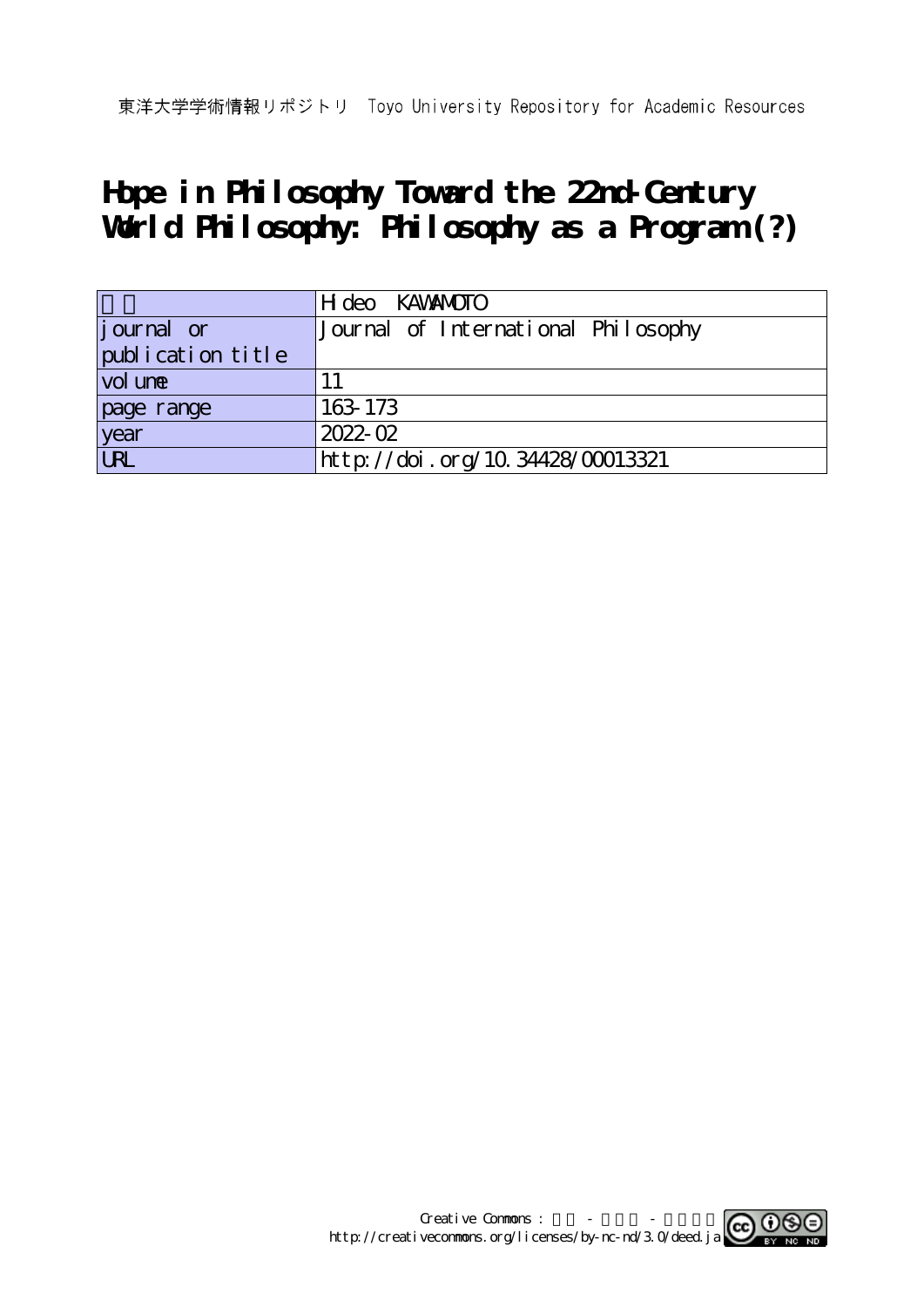# **Hope in Philosophy Toward the 22nd-Century World Philosophy: Philosophy as a Program (?)**

|                    | H deo KAWANOTO                      |
|--------------------|-------------------------------------|
| <i>j</i> ournal or | Journal of International Philosophy |
| publication title  |                                     |
| vol une            |                                     |
| page range         | 163 173                             |
| year<br>URL        | $2022 - 02$                         |
|                    | http://doi.org/10.34428/00013321    |

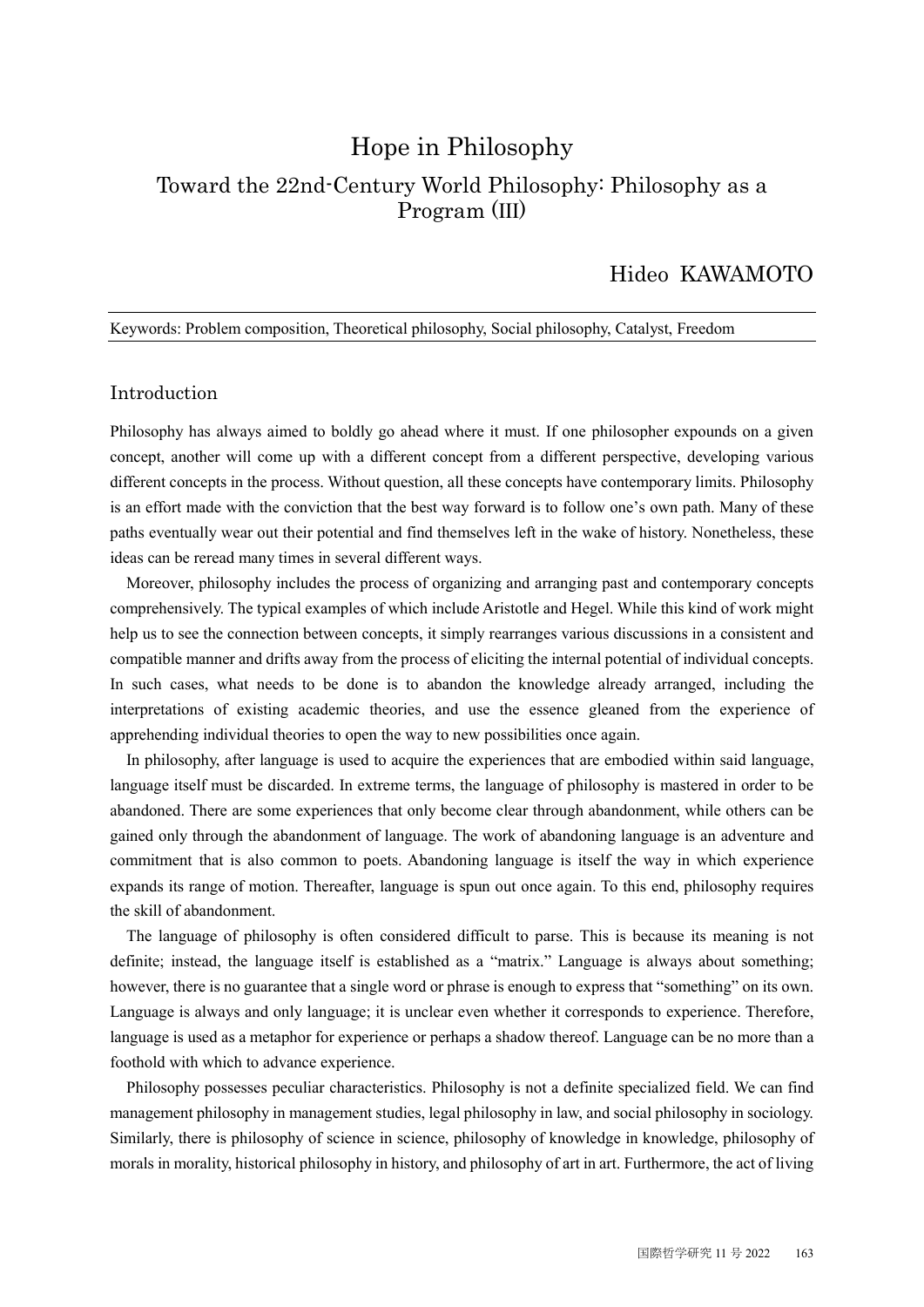## Hope in Philosophy Toward the 22nd-Century World Philosophy: Philosophy as a Program (Ⅲ)

### Hideo KAWAMOTO

#### Keywords: Problem composition, Theoretical philosophy, Social philosophy, Catalyst, Freedom

#### Introduction

Philosophy has always aimed to boldly go ahead where it must. If one philosopher expounds on a given concept, another will come up with a different concept from a different perspective, developing various different concepts in the process. Without question, all these concepts have contemporary limits. Philosophy is an effort made with the conviction that the best way forward is to follow one's own path. Many of these paths eventually wear out their potential and find themselves left in the wake of history. Nonetheless, these ideas can be reread many times in several different ways.

Moreover, philosophy includes the process of organizing and arranging past and contemporary concepts comprehensively. The typical examples of which include Aristotle and Hegel. While this kind of work might help us to see the connection between concepts, it simply rearranges various discussions in a consistent and compatible manner and drifts away from the process of eliciting the internal potential of individual concepts. In such cases, what needs to be done is to abandon the knowledge already arranged, including the interpretations of existing academic theories, and use the essence gleaned from the experience of apprehending individual theories to open the way to new possibilities once again.

In philosophy, after language is used to acquire the experiences that are embodied within said language, language itself must be discarded. In extreme terms, the language of philosophy is mastered in order to be abandoned. There are some experiences that only become clear through abandonment, while others can be gained only through the abandonment of language. The work of abandoning language is an adventure and commitment that is also common to poets. Abandoning language is itself the way in which experience expands its range of motion. Thereafter, language is spun out once again. To this end, philosophy requires the skill of abandonment.

The language of philosophy is often considered difficult to parse. This is because its meaning is not definite; instead, the language itself is established as a "matrix." Language is always about something; however, there is no guarantee that a single word or phrase is enough to express that "something" on its own. Language is always and only language; it is unclear even whether it corresponds to experience. Therefore, language is used as a metaphor for experience or perhaps a shadow thereof. Language can be no more than a foothold with which to advance experience.

Philosophy possesses peculiar characteristics. Philosophy is not a definite specialized field. We can find management philosophy in management studies, legal philosophy in law, and social philosophy in sociology. Similarly, there is philosophy of science in science, philosophy of knowledge in knowledge, philosophy of morals in morality, historical philosophy in history, and philosophy of art in art. Furthermore, the act of living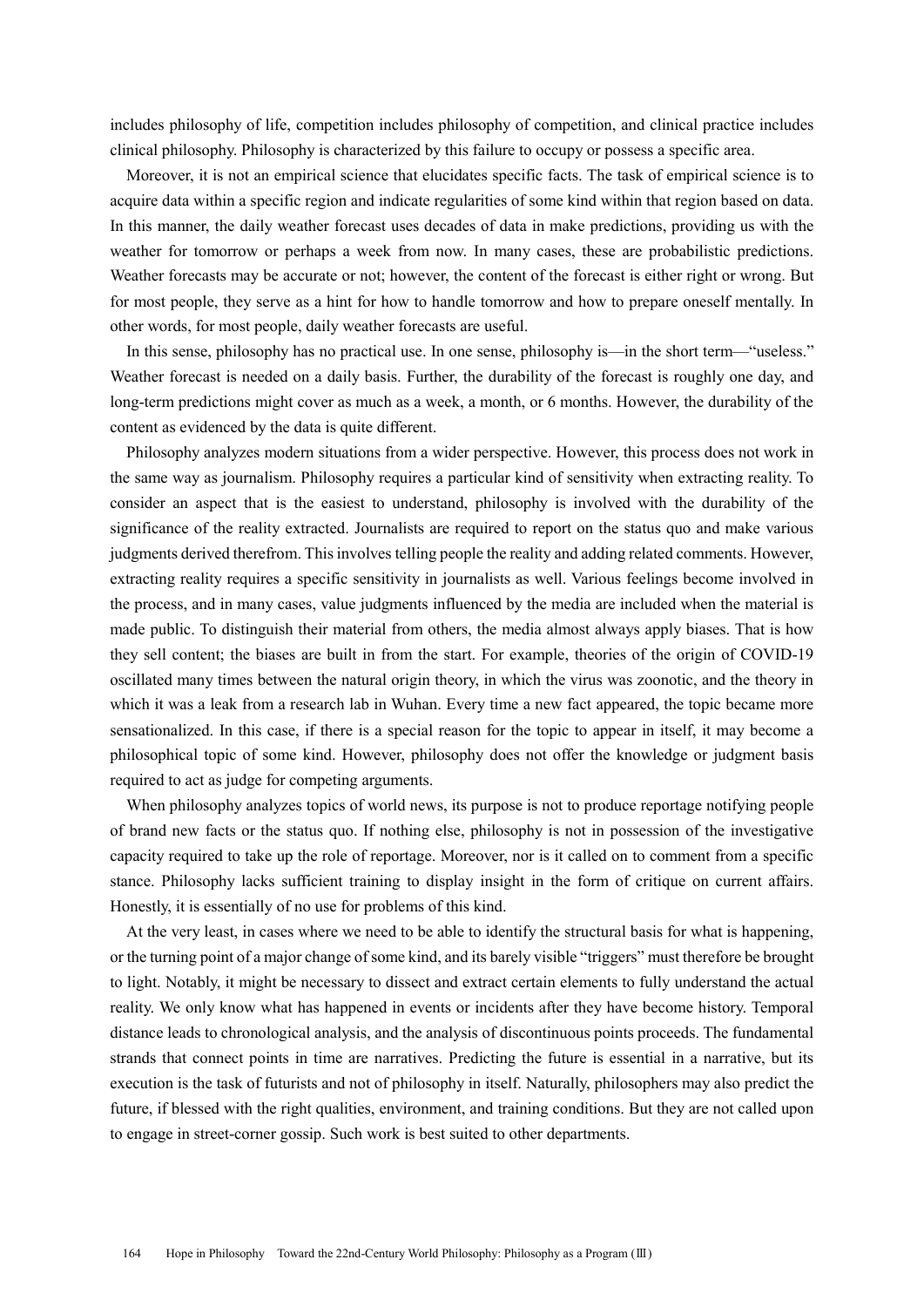includes philosophy of life, competition includes philosophy of competition, and clinical practice includes clinical philosophy. Philosophy is characterized by this failure to occupy or possess a specific area.

Moreover, it is not an empirical science that elucidates specific facts. The task of empirical science is to acquire data within a specific region and indicate regularities of some kind within that region based on data. In this manner, the daily weather forecast uses decades of data in make predictions, providing us with the weather for tomorrow or perhaps a week from now. In many cases, these are probabilistic predictions. Weather forecasts may be accurate or not; however, the content of the forecast is either right or wrong. But for most people, they serve as a hint for how to handle tomorrow and how to prepare oneself mentally. In other words, for most people, daily weather forecasts are useful.

In this sense, philosophy has no practical use. In one sense, philosophy is—in the short term—"useless." Weather forecast is needed on a daily basis. Further, the durability of the forecast is roughly one day, and long-term predictions might cover as much as a week, a month, or 6 months. However, the durability of the content as evidenced by the data is quite different.

Philosophy analyzes modern situations from a wider perspective. However, this process does not work in the same way as journalism. Philosophy requires a particular kind of sensitivity when extracting reality. To consider an aspect that is the easiest to understand, philosophy is involved with the durability of the significance of the reality extracted. Journalists are required to report on the status quo and make various judgments derived therefrom. This involves telling people the reality and adding related comments. However, extracting reality requires a specific sensitivity in journalists as well. Various feelings become involved in the process, and in many cases, value judgments influenced by the media are included when the material is made public. To distinguish their material from others, the media almost always apply biases. That is how they sell content; the biases are built in from the start. For example, theories of the origin of COVID-19 oscillated many times between the natural origin theory, in which the virus was zoonotic, and the theory in which it was a leak from a research lab in Wuhan. Every time a new fact appeared, the topic became more sensationalized. In this case, if there is a special reason for the topic to appear in itself, it may become a philosophical topic of some kind. However, philosophy does not offer the knowledge or judgment basis required to act as judge for competing arguments.

When philosophy analyzes topics of world news, its purpose is not to produce reportage notifying people of brand new facts or the status quo. If nothing else, philosophy is not in possession of the investigative capacity required to take up the role of reportage. Moreover, nor is it called on to comment from a specific stance. Philosophy lacks sufficient training to display insight in the form of critique on current affairs. Honestly, it is essentially of no use for problems of this kind.

At the very least, in cases where we need to be able to identify the structural basis for what is happening, or the turning point of a major change of some kind, and its barely visible "triggers" must therefore be brought to light. Notably, it might be necessary to dissect and extract certain elements to fully understand the actual reality. We only know what has happened in events or incidents after they have become history. Temporal distance leads to chronological analysis, and the analysis of discontinuous points proceeds. The fundamental strands that connect points in time are narratives. Predicting the future is essential in a narrative, but its execution is the task of futurists and not of philosophy in itself. Naturally, philosophers may also predict the future, if blessed with the right qualities, environment, and training conditions. But they are not called upon to engage in street-corner gossip. Such work is best suited to other departments.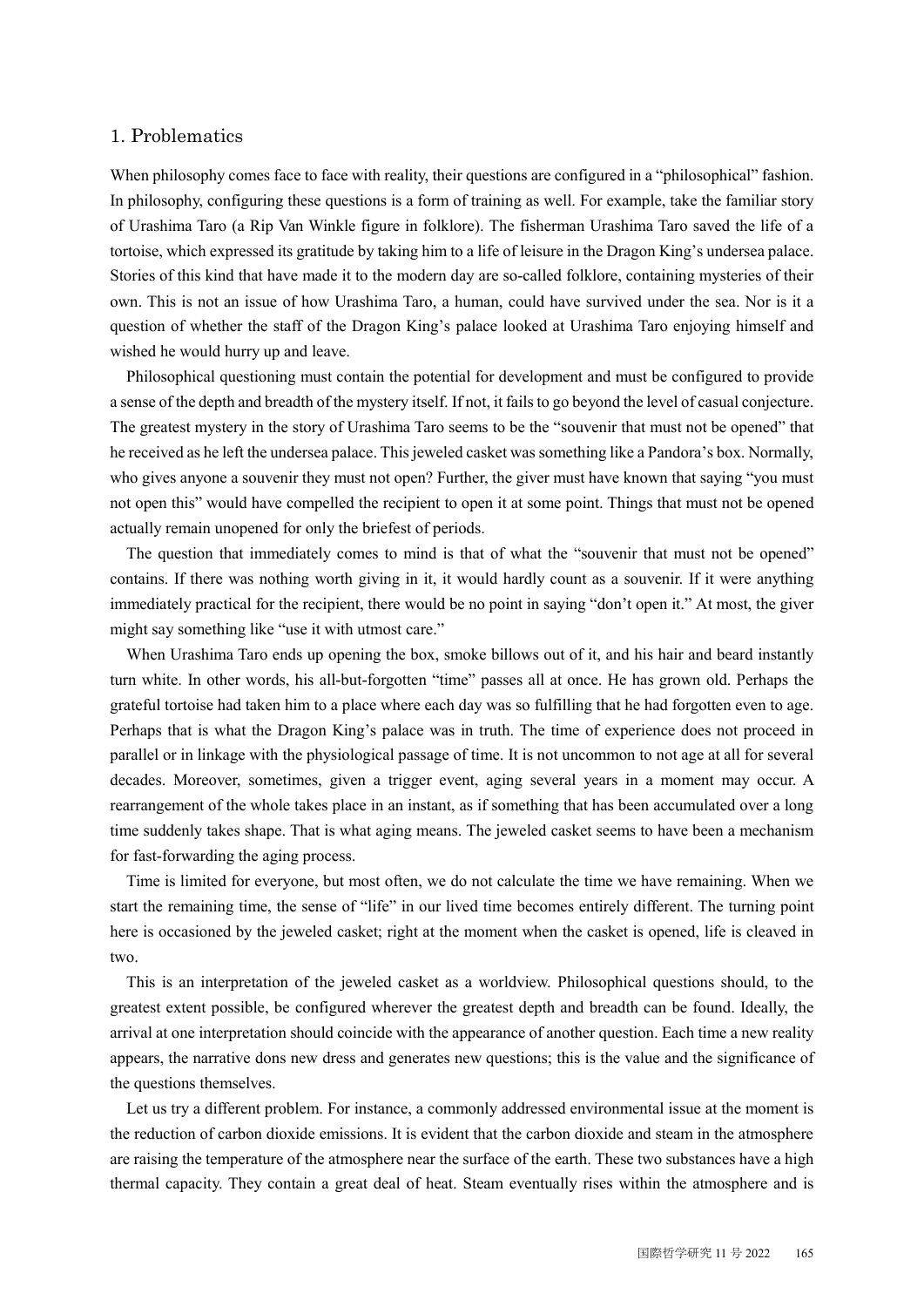#### 1. Problematics

When philosophy comes face to face with reality, their questions are configured in a "philosophical" fashion. In philosophy, configuring these questions is a form of training as well. For example, take the familiar story of Urashima Taro (a Rip Van Winkle figure in folklore). The fisherman Urashima Taro saved the life of a tortoise, which expressed its gratitude by taking him to a life of leisure in the Dragon King's undersea palace. Stories of this kind that have made it to the modern day are so-called folklore, containing mysteries of their own. This is not an issue of how Urashima Taro, a human, could have survived under the sea. Nor is it a question of whether the staff of the Dragon King's palace looked at Urashima Taro enjoying himself and wished he would hurry up and leave.

Philosophical questioning must contain the potential for development and must be configured to provide a sense of the depth and breadth of the mystery itself. If not, it fails to go beyond the level of casual conjecture. The greatest mystery in the story of Urashima Taro seems to be the "souvenir that must not be opened" that he received as he left the undersea palace. This jeweled casket was something like a Pandora's box. Normally, who gives anyone a souvenir they must not open? Further, the giver must have known that saying "you must not open this" would have compelled the recipient to open it at some point. Things that must not be opened actually remain unopened for only the briefest of periods.

The question that immediately comes to mind is that of what the "souvenir that must not be opened" contains. If there was nothing worth giving in it, it would hardly count as a souvenir. If it were anything immediately practical for the recipient, there would be no point in saying "don't open it." At most, the giver might say something like "use it with utmost care."

When Urashima Taro ends up opening the box, smoke billows out of it, and his hair and beard instantly turn white. In other words, his all-but-forgotten "time" passes all at once. He has grown old. Perhaps the grateful tortoise had taken him to a place where each day was so fulfilling that he had forgotten even to age. Perhaps that is what the Dragon King's palace was in truth. The time of experience does not proceed in parallel or in linkage with the physiological passage of time. It is not uncommon to not age at all for several decades. Moreover, sometimes, given a trigger event, aging several years in a moment may occur. A rearrangement of the whole takes place in an instant, as if something that has been accumulated over a long time suddenly takes shape. That is what aging means. The jeweled casket seems to have been a mechanism for fast-forwarding the aging process.

Time is limited for everyone, but most often, we do not calculate the time we have remaining. When we start the remaining time, the sense of "life" in our lived time becomes entirely different. The turning point here is occasioned by the jeweled casket; right at the moment when the casket is opened, life is cleaved in two.

This is an interpretation of the jeweled casket as a worldview. Philosophical questions should, to the greatest extent possible, be configured wherever the greatest depth and breadth can be found. Ideally, the arrival at one interpretation should coincide with the appearance of another question. Each time a new reality appears, the narrative dons new dress and generates new questions; this is the value and the significance of the questions themselves.

Let us try a different problem. For instance, a commonly addressed environmental issue at the moment is the reduction of carbon dioxide emissions. It is evident that the carbon dioxide and steam in the atmosphere are raising the temperature of the atmosphere near the surface of the earth. These two substances have a high thermal capacity. They contain a great deal of heat. Steam eventually rises within the atmosphere and is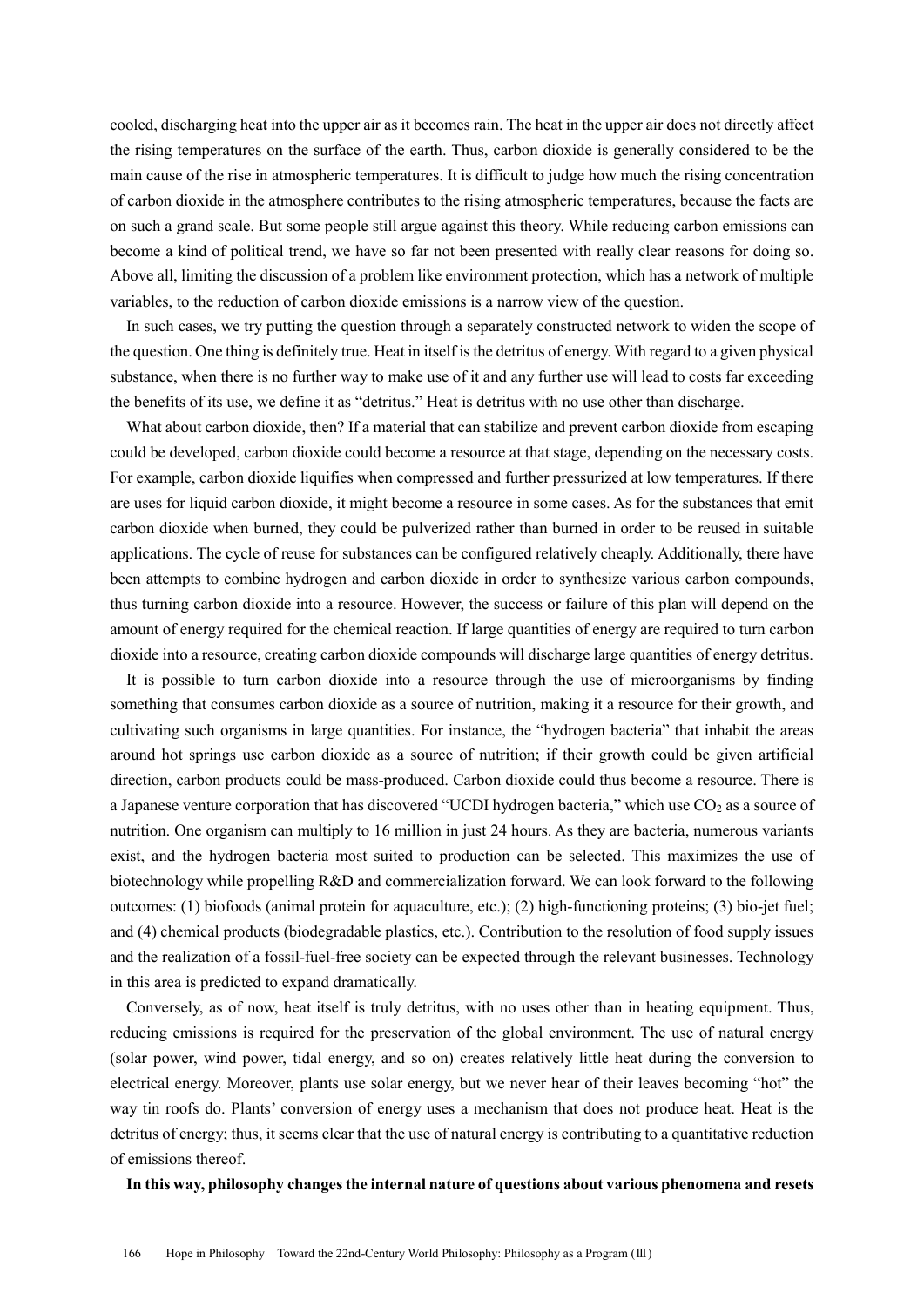cooled, discharging heat into the upper air as it becomes rain. The heat in the upper air does not directly affect the rising temperatures on the surface of the earth. Thus, carbon dioxide is generally considered to be the main cause of the rise in atmospheric temperatures. It is difficult to judge how much the rising concentration of carbon dioxide in the atmosphere contributes to the rising atmospheric temperatures, because the facts are on such a grand scale. But some people still argue against this theory. While reducing carbon emissions can become a kind of political trend, we have so far not been presented with really clear reasons for doing so. Above all, limiting the discussion of a problem like environment protection, which has a network of multiple variables, to the reduction of carbon dioxide emissions is a narrow view of the question.

In such cases, we try putting the question through a separately constructed network to widen the scope of the question. One thing is definitely true. Heat in itself is the detritus of energy. With regard to a given physical substance, when there is no further way to make use of it and any further use will lead to costs far exceeding the benefits of its use, we define it as "detritus." Heat is detritus with no use other than discharge.

What about carbon dioxide, then? If a material that can stabilize and prevent carbon dioxide from escaping could be developed, carbon dioxide could become a resource at that stage, depending on the necessary costs. For example, carbon dioxide liquifies when compressed and further pressurized at low temperatures. If there are uses for liquid carbon dioxide, it might become a resource in some cases. As for the substances that emit carbon dioxide when burned, they could be pulverized rather than burned in order to be reused in suitable applications. The cycle of reuse for substances can be configured relatively cheaply. Additionally, there have been attempts to combine hydrogen and carbon dioxide in order to synthesize various carbon compounds, thus turning carbon dioxide into a resource. However, the success or failure of this plan will depend on the amount of energy required for the chemical reaction. If large quantities of energy are required to turn carbon dioxide into a resource, creating carbon dioxide compounds will discharge large quantities of energy detritus.

It is possible to turn carbon dioxide into a resource through the use of microorganisms by finding something that consumes carbon dioxide as a source of nutrition, making it a resource for their growth, and cultivating such organisms in large quantities. For instance, the "hydrogen bacteria" that inhabit the areas around hot springs use carbon dioxide as a source of nutrition; if their growth could be given artificial direction, carbon products could be mass-produced. Carbon dioxide could thus become a resource. There is a Japanese venture corporation that has discovered "UCDI hydrogen bacteria," which use CO<sub>2</sub> as a source of nutrition. One organism can multiply to 16 million in just 24 hours. As they are bacteria, numerous variants exist, and the hydrogen bacteria most suited to production can be selected. This maximizes the use of biotechnology while propelling R&D and commercialization forward. We can look forward to the following outcomes: (1) biofoods (animal protein for aquaculture, etc.); (2) high-functioning proteins; (3) bio-jet fuel; and (4) chemical products (biodegradable plastics, etc.). Contribution to the resolution of food supply issues and the realization of a fossil-fuel-free society can be expected through the relevant businesses. Technology in this area is predicted to expand dramatically.

Conversely, as of now, heat itself is truly detritus, with no uses other than in heating equipment. Thus, reducing emissions is required for the preservation of the global environment. The use of natural energy (solar power, wind power, tidal energy, and so on) creates relatively little heat during the conversion to electrical energy. Moreover, plants use solar energy, but we never hear of their leaves becoming "hot" the way tin roofs do. Plants' conversion of energy uses a mechanism that does not produce heat. Heat is the detritus of energy; thus, it seems clear that the use of natural energy is contributing to a quantitative reduction of emissions thereof.

#### **In this way, philosophy changes the internal nature of questions about various phenomena and resets**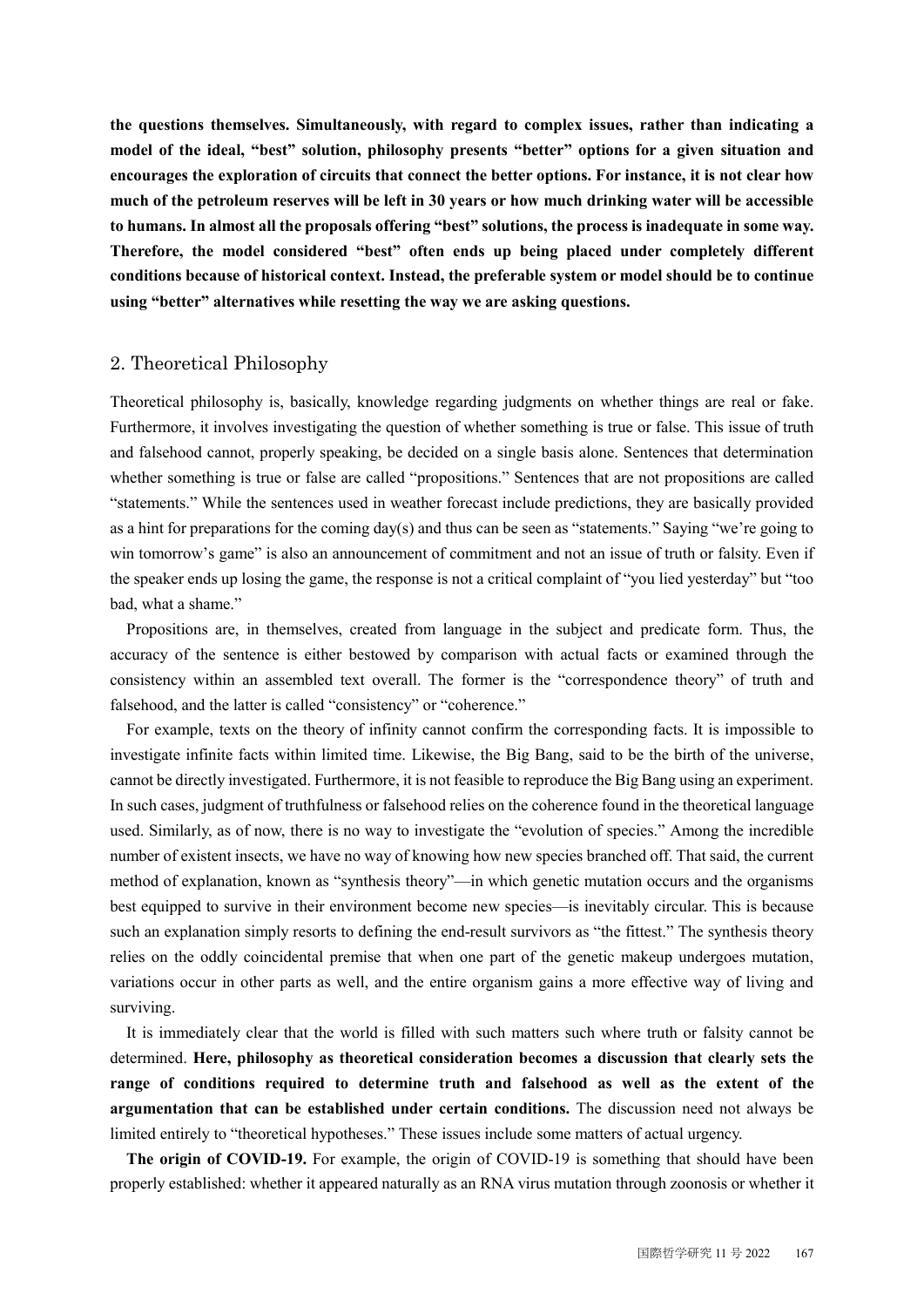**the questions themselves. Simultaneously, with regard to complex issues, rather than indicating a model of the ideal, "best" solution, philosophy presents "better" options for a given situation and encourages the exploration of circuits that connect the better options. For instance, it is not clear how much of the petroleum reserves will be left in 30 years or how much drinking water will be accessible to humans. In almost all the proposals offering "best" solutions, the process is inadequate in some way. Therefore, the model considered "best" often ends up being placed under completely different conditions because of historical context. Instead, the preferable system or model should be to continue using "better" alternatives while resetting the way we are asking questions.**

#### 2. Theoretical Philosophy

Theoretical philosophy is, basically, knowledge regarding judgments on whether things are real or fake. Furthermore, it involves investigating the question of whether something is true or false. This issue of truth and falsehood cannot, properly speaking, be decided on a single basis alone. Sentences that determination whether something is true or false are called "propositions." Sentences that are not propositions are called "statements." While the sentences used in weather forecast include predictions, they are basically provided as a hint for preparations for the coming day(s) and thus can be seen as "statements." Saying "we're going to win tomorrow's game" is also an announcement of commitment and not an issue of truth or falsity. Even if the speaker ends up losing the game, the response is not a critical complaint of "you lied yesterday" but "too bad, what a shame."

Propositions are, in themselves, created from language in the subject and predicate form. Thus, the accuracy of the sentence is either bestowed by comparison with actual facts or examined through the consistency within an assembled text overall. The former is the "correspondence theory" of truth and falsehood, and the latter is called "consistency" or "coherence."

For example, texts on the theory of infinity cannot confirm the corresponding facts. It is impossible to investigate infinite facts within limited time. Likewise, the Big Bang, said to be the birth of the universe, cannot be directly investigated. Furthermore, it is not feasible to reproduce the Big Bang using an experiment. In such cases, judgment of truthfulness or falsehood relies on the coherence found in the theoretical language used. Similarly, as of now, there is no way to investigate the "evolution of species." Among the incredible number of existent insects, we have no way of knowing how new species branched off. That said, the current method of explanation, known as "synthesis theory"—in which genetic mutation occurs and the organisms best equipped to survive in their environment become new species—is inevitably circular. This is because such an explanation simply resorts to defining the end-result survivors as "the fittest." The synthesis theory relies on the oddly coincidental premise that when one part of the genetic makeup undergoes mutation, variations occur in other parts as well, and the entire organism gains a more effective way of living and surviving.

It is immediately clear that the world is filled with such matters such where truth or falsity cannot be determined. **Here, philosophy as theoretical consideration becomes a discussion that clearly sets the range of conditions required to determine truth and falsehood as well as the extent of the argumentation that can be established under certain conditions.** The discussion need not always be limited entirely to "theoretical hypotheses." These issues include some matters of actual urgency.

**The origin of COVID-19.** For example, the origin of COVID-19 is something that should have been properly established: whether it appeared naturally as an RNA virus mutation through zoonosis or whether it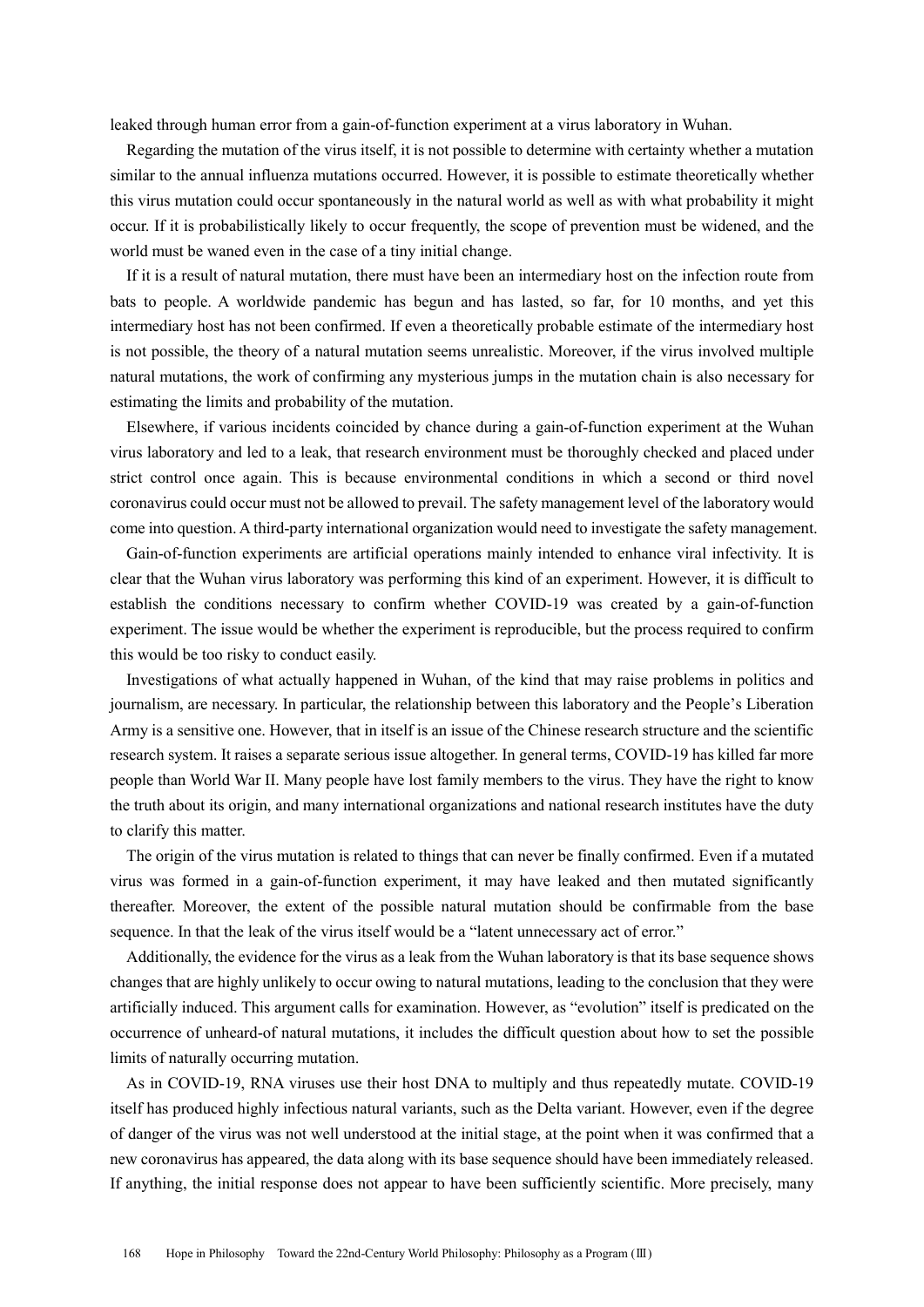leaked through human error from a gain-of-function experiment at a virus laboratory in Wuhan.

Regarding the mutation of the virus itself, it is not possible to determine with certainty whether a mutation similar to the annual influenza mutations occurred. However, it is possible to estimate theoretically whether this virus mutation could occur spontaneously in the natural world as well as with what probability it might occur. If it is probabilistically likely to occur frequently, the scope of prevention must be widened, and the world must be waned even in the case of a tiny initial change.

If it is a result of natural mutation, there must have been an intermediary host on the infection route from bats to people. A worldwide pandemic has begun and has lasted, so far, for 10 months, and yet this intermediary host has not been confirmed. If even a theoretically probable estimate of the intermediary host is not possible, the theory of a natural mutation seems unrealistic. Moreover, if the virus involved multiple natural mutations, the work of confirming any mysterious jumps in the mutation chain is also necessary for estimating the limits and probability of the mutation.

Elsewhere, if various incidents coincided by chance during a gain-of-function experiment at the Wuhan virus laboratory and led to a leak, that research environment must be thoroughly checked and placed under strict control once again. This is because environmental conditions in which a second or third novel coronavirus could occur must not be allowed to prevail. The safety management level of the laboratory would come into question. A third-party international organization would need to investigate the safety management.

Gain-of-function experiments are artificial operations mainly intended to enhance viral infectivity. It is clear that the Wuhan virus laboratory was performing this kind of an experiment. However, it is difficult to establish the conditions necessary to confirm whether COVID-19 was created by a gain-of-function experiment. The issue would be whether the experiment is reproducible, but the process required to confirm this would be too risky to conduct easily.

Investigations of what actually happened in Wuhan, of the kind that may raise problems in politics and journalism, are necessary. In particular, the relationship between this laboratory and the People's Liberation Army is a sensitive one. However, that in itself is an issue of the Chinese research structure and the scientific research system. It raises a separate serious issue altogether. In general terms, COVID-19 has killed far more people than World War II. Many people have lost family members to the virus. They have the right to know the truth about its origin, and many international organizations and national research institutes have the duty to clarify this matter.

The origin of the virus mutation is related to things that can never be finally confirmed. Even if a mutated virus was formed in a gain-of-function experiment, it may have leaked and then mutated significantly thereafter. Moreover, the extent of the possible natural mutation should be confirmable from the base sequence. In that the leak of the virus itself would be a "latent unnecessary act of error."

Additionally, the evidence for the virus as a leak from the Wuhan laboratory is that its base sequence shows changes that are highly unlikely to occur owing to natural mutations, leading to the conclusion that they were artificially induced. This argument calls for examination. However, as "evolution" itself is predicated on the occurrence of unheard-of natural mutations, it includes the difficult question about how to set the possible limits of naturally occurring mutation.

As in COVID-19, RNA viruses use their host DNA to multiply and thus repeatedly mutate. COVID-19 itself has produced highly infectious natural variants, such as the Delta variant. However, even if the degree of danger of the virus was not well understood at the initial stage, at the point when it was confirmed that a new coronavirus has appeared, the data along with its base sequence should have been immediately released. If anything, the initial response does not appear to have been sufficiently scientific. More precisely, many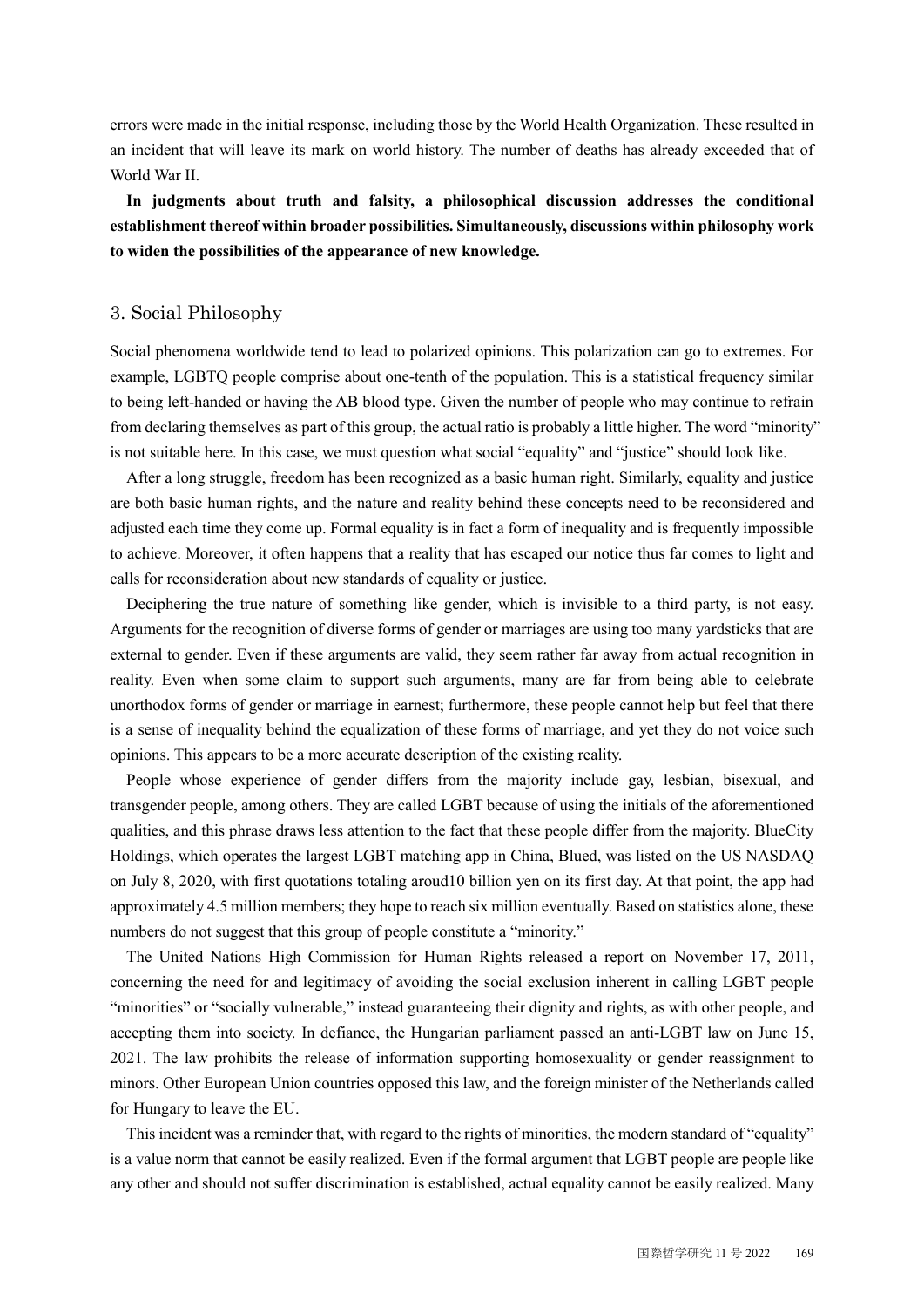errors were made in the initial response, including those by the World Health Organization. These resulted in an incident that will leave its mark on world history. The number of deaths has already exceeded that of World War II.

**In judgments about truth and falsity, a philosophical discussion addresses the conditional establishment thereof within broader possibilities. Simultaneously, discussions within philosophy work to widen the possibilities of the appearance of new knowledge.**

#### 3. Social Philosophy

Social phenomena worldwide tend to lead to polarized opinions. This polarization can go to extremes. For example, LGBTQ people comprise about one-tenth of the population. This is a statistical frequency similar to being left-handed or having the AB blood type. Given the number of people who may continue to refrain from declaring themselves as part of this group, the actual ratio is probably a little higher. The word "minority" is not suitable here. In this case, we must question what social "equality" and "justice" should look like.

After a long struggle, freedom has been recognized as a basic human right. Similarly, equality and justice are both basic human rights, and the nature and reality behind these concepts need to be reconsidered and adjusted each time they come up. Formal equality is in fact a form of inequality and is frequently impossible to achieve. Moreover, it often happens that a reality that has escaped our notice thus far comes to light and calls for reconsideration about new standards of equality or justice.

Deciphering the true nature of something like gender, which is invisible to a third party, is not easy. Arguments for the recognition of diverse forms of gender or marriages are using too many yardsticks that are external to gender. Even if these arguments are valid, they seem rather far away from actual recognition in reality. Even when some claim to support such arguments, many are far from being able to celebrate unorthodox forms of gender or marriage in earnest; furthermore, these people cannot help but feel that there is a sense of inequality behind the equalization of these forms of marriage, and yet they do not voice such opinions. This appears to be a more accurate description of the existing reality.

People whose experience of gender differs from the majority include gay, lesbian, bisexual, and transgender people, among others. They are called LGBT because of using the initials of the aforementioned qualities, and this phrase draws less attention to the fact that these people differ from the majority. BlueCity Holdings, which operates the largest LGBT matching app in China, Blued, was listed on the US NASDAQ on July 8, 2020, with first quotations totaling aroud10 billion yen on its first day. At that point, the app had approximately 4.5 million members; they hope to reach six million eventually. Based on statistics alone, these numbers do not suggest that this group of people constitute a "minority."

The United Nations High Commission for Human Rights released a report on November 17, 2011, concerning the need for and legitimacy of avoiding the social exclusion inherent in calling LGBT people "minorities" or "socially vulnerable," instead guaranteeing their dignity and rights, as with other people, and accepting them into society. In defiance, the Hungarian parliament passed an anti-LGBT law on June 15, 2021. The law prohibits the release of information supporting homosexuality or gender reassignment to minors. Other European Union countries opposed this law, and the foreign minister of the Netherlands called for Hungary to leave the EU.

This incident was a reminder that, with regard to the rights of minorities, the modern standard of "equality" is a value norm that cannot be easily realized. Even if the formal argument that LGBT people are people like any other and should not suffer discrimination is established, actual equality cannot be easily realized. Many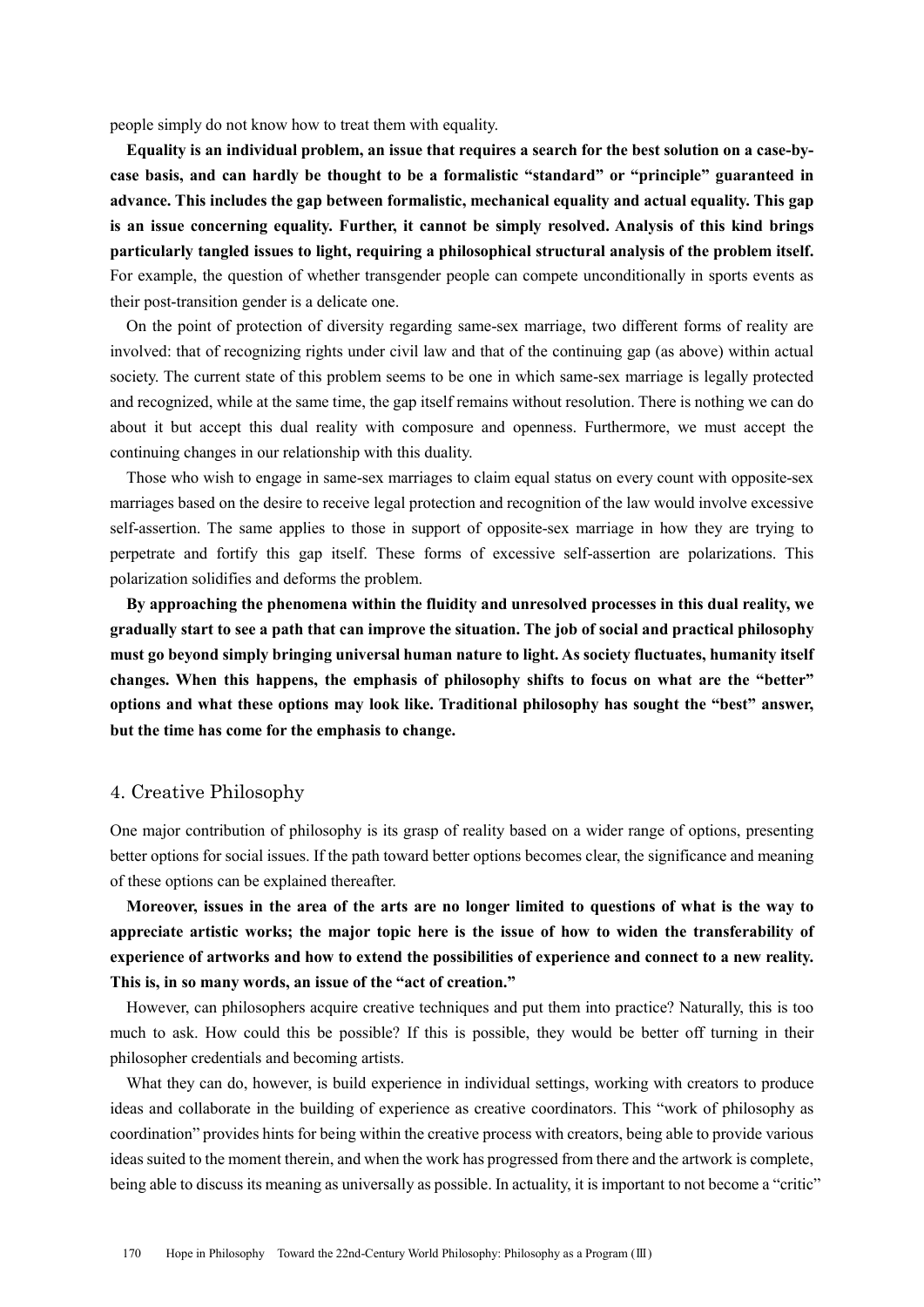people simply do not know how to treat them with equality.

**Equality is an individual problem, an issue that requires a search for the best solution on a case-bycase basis, and can hardly be thought to be a formalistic "standard" or "principle" guaranteed in advance. This includes the gap between formalistic, mechanical equality and actual equality. This gap is an issue concerning equality. Further, it cannot be simply resolved. Analysis of this kind brings particularly tangled issues to light, requiring a philosophical structural analysis of the problem itself.**  For example, the question of whether transgender people can compete unconditionally in sports events as their post-transition gender is a delicate one.

On the point of protection of diversity regarding same-sex marriage, two different forms of reality are involved: that of recognizing rights under civil law and that of the continuing gap (as above) within actual society. The current state of this problem seems to be one in which same-sex marriage is legally protected and recognized, while at the same time, the gap itself remains without resolution. There is nothing we can do about it but accept this dual reality with composure and openness. Furthermore, we must accept the continuing changes in our relationship with this duality.

Those who wish to engage in same-sex marriages to claim equal status on every count with opposite-sex marriages based on the desire to receive legal protection and recognition of the law would involve excessive self-assertion. The same applies to those in support of opposite-sex marriage in how they are trying to perpetrate and fortify this gap itself. These forms of excessive self-assertion are polarizations. This polarization solidifies and deforms the problem.

**By approaching the phenomena within the fluidity and unresolved processes in this dual reality, we gradually start to see a path that can improve the situation. The job of social and practical philosophy must go beyond simply bringing universal human nature to light. As society fluctuates, humanity itself changes. When this happens, the emphasis of philosophy shifts to focus on what are the "better" options and what these options may look like. Traditional philosophy has sought the "best" answer, but the time has come for the emphasis to change.**

#### 4. Creative Philosophy

One major contribution of philosophy is its grasp of reality based on a wider range of options, presenting better options for social issues. If the path toward better options becomes clear, the significance and meaning of these options can be explained thereafter.

**Moreover, issues in the area of the arts are no longer limited to questions of what is the way to appreciate artistic works; the major topic here is the issue of how to widen the transferability of experience of artworks and how to extend the possibilities of experience and connect to a new reality. This is, in so many words, an issue of the "act of creation."**

However, can philosophers acquire creative techniques and put them into practice? Naturally, this is too much to ask. How could this be possible? If this is possible, they would be better off turning in their philosopher credentials and becoming artists.

What they can do, however, is build experience in individual settings, working with creators to produce ideas and collaborate in the building of experience as creative coordinators. This "work of philosophy as coordination" provides hints for being within the creative process with creators, being able to provide various ideas suited to the moment therein, and when the work has progressed from there and the artwork is complete, being able to discuss its meaning as universally as possible. In actuality, it is important to not become a "critic"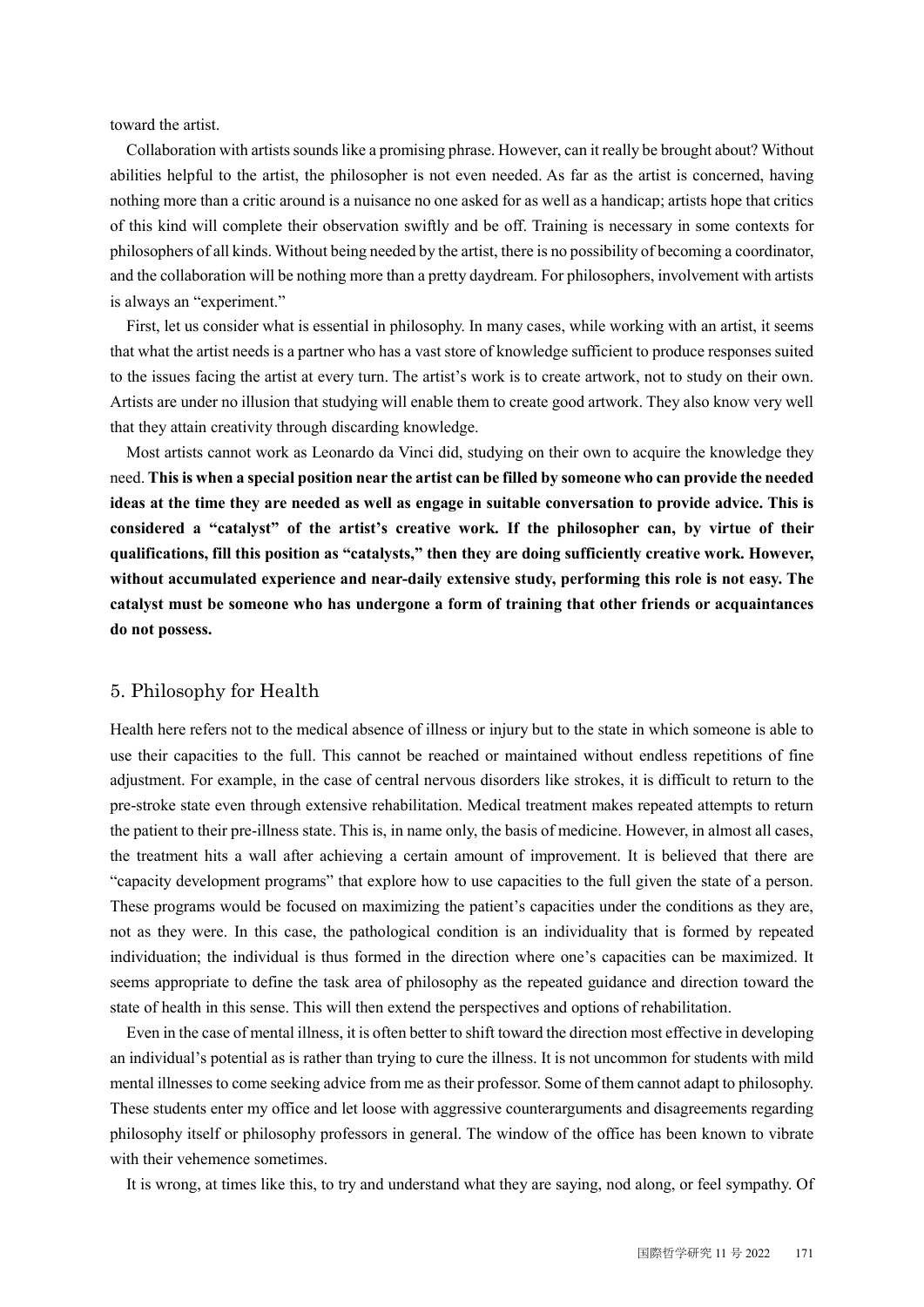toward the artist.

Collaboration with artists sounds like a promising phrase. However, can it really be brought about? Without abilities helpful to the artist, the philosopher is not even needed. As far as the artist is concerned, having nothing more than a critic around is a nuisance no one asked for as well as a handicap; artists hope that critics of this kind will complete their observation swiftly and be off. Training is necessary in some contexts for philosophers of all kinds. Without being needed by the artist, there is no possibility of becoming a coordinator, and the collaboration will be nothing more than a pretty daydream. For philosophers, involvement with artists is always an "experiment."

First, let us consider what is essential in philosophy. In many cases, while working with an artist, it seems that what the artist needs is a partner who has a vast store of knowledge sufficient to produce responses suited to the issues facing the artist at every turn. The artist's work is to create artwork, not to study on their own. Artists are under no illusion that studying will enable them to create good artwork. They also know very well that they attain creativity through discarding knowledge.

Most artists cannot work as Leonardo da Vinci did, studying on their own to acquire the knowledge they need. **This is when a special position near the artist can be filled by someone who can provide the needed ideas at the time they are needed as well as engage in suitable conversation to provide advice. This is considered a "catalyst" of the artist's creative work. If the philosopher can, by virtue of their qualifications, fill this position as "catalysts," then they are doing sufficiently creative work. However, without accumulated experience and near-daily extensive study, performing this role is not easy. The catalyst must be someone who has undergone a form of training that other friends or acquaintances do not possess.**

#### 5. Philosophy for Health

Health here refers not to the medical absence of illness or injury but to the state in which someone is able to use their capacities to the full. This cannot be reached or maintained without endless repetitions of fine adjustment. For example, in the case of central nervous disorders like strokes, it is difficult to return to the pre-stroke state even through extensive rehabilitation. Medical treatment makes repeated attempts to return the patient to their pre-illness state. This is, in name only, the basis of medicine. However, in almost all cases, the treatment hits a wall after achieving a certain amount of improvement. It is believed that there are "capacity development programs" that explore how to use capacities to the full given the state of a person. These programs would be focused on maximizing the patient's capacities under the conditions as they are, not as they were. In this case, the pathological condition is an individuality that is formed by repeated individuation; the individual is thus formed in the direction where one's capacities can be maximized. It seems appropriate to define the task area of philosophy as the repeated guidance and direction toward the state of health in this sense. This will then extend the perspectives and options of rehabilitation.

Even in the case of mental illness, it is often better to shift toward the direction most effective in developing an individual's potential as is rather than trying to cure the illness. It is not uncommon for students with mild mental illnesses to come seeking advice from me as their professor. Some of them cannot adapt to philosophy. These students enter my office and let loose with aggressive counterarguments and disagreements regarding philosophy itself or philosophy professors in general. The window of the office has been known to vibrate with their vehemence sometimes.

It is wrong, at times like this, to try and understand what they are saying, nod along, or feel sympathy. Of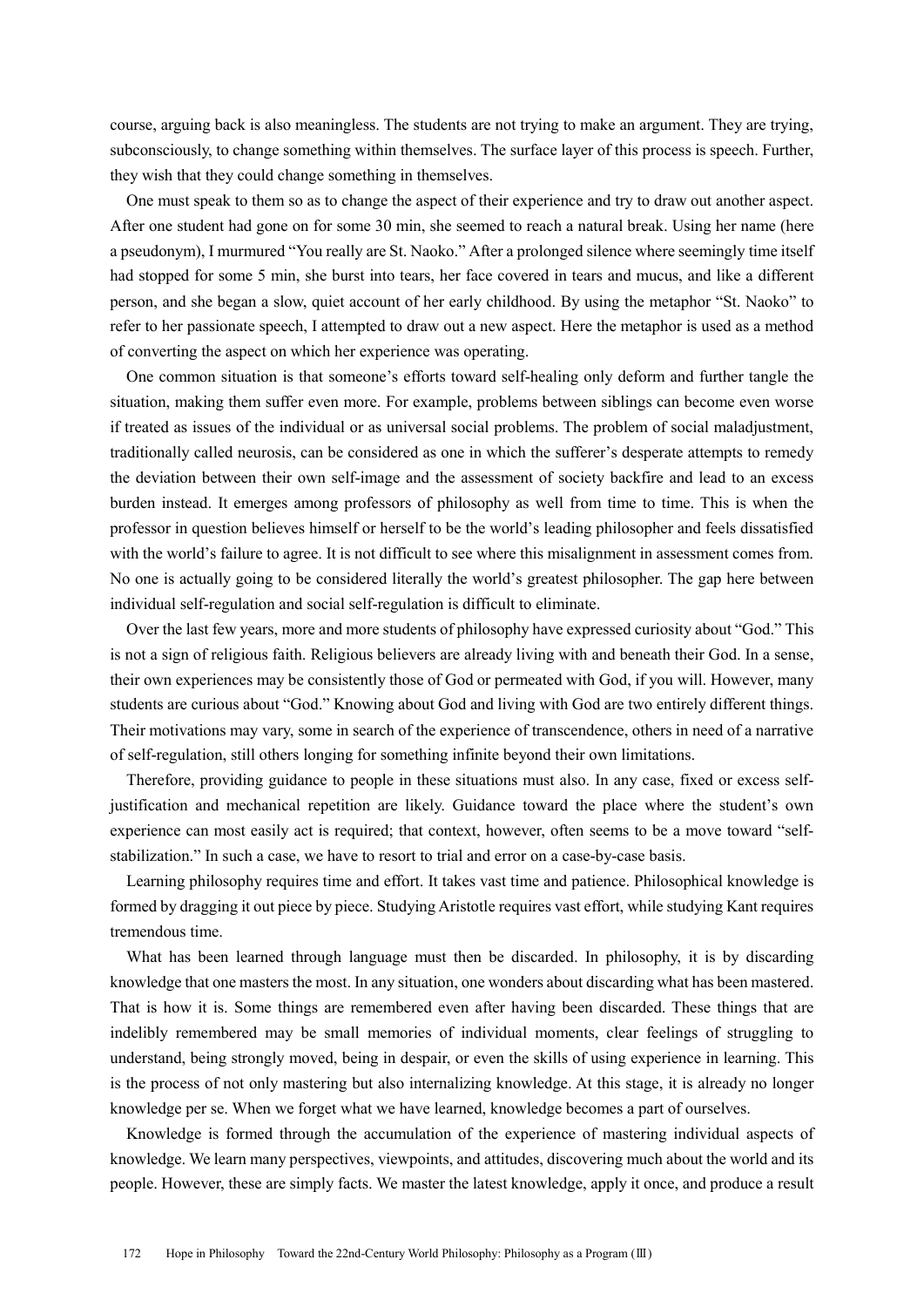course, arguing back is also meaningless. The students are not trying to make an argument. They are trying, subconsciously, to change something within themselves. The surface layer of this process is speech. Further, they wish that they could change something in themselves.

One must speak to them so as to change the aspect of their experience and try to draw out another aspect. After one student had gone on for some 30 min, she seemed to reach a natural break. Using her name (here a pseudonym), I murmured "You really are St. Naoko." After a prolonged silence where seemingly time itself had stopped for some 5 min, she burst into tears, her face covered in tears and mucus, and like a different person, and she began a slow, quiet account of her early childhood. By using the metaphor "St. Naoko" to refer to her passionate speech, I attempted to draw out a new aspect. Here the metaphor is used as a method of converting the aspect on which her experience was operating.

One common situation is that someone's efforts toward self-healing only deform and further tangle the situation, making them suffer even more. For example, problems between siblings can become even worse if treated as issues of the individual or as universal social problems. The problem of social maladjustment, traditionally called neurosis, can be considered as one in which the sufferer's desperate attempts to remedy the deviation between their own self-image and the assessment of society backfire and lead to an excess burden instead. It emerges among professors of philosophy as well from time to time. This is when the professor in question believes himself or herself to be the world's leading philosopher and feels dissatisfied with the world's failure to agree. It is not difficult to see where this misalignment in assessment comes from. No one is actually going to be considered literally the world's greatest philosopher. The gap here between individual self-regulation and social self-regulation is difficult to eliminate.

Over the last few years, more and more students of philosophy have expressed curiosity about "God." This is not a sign of religious faith. Religious believers are already living with and beneath their God. In a sense, their own experiences may be consistently those of God or permeated with God, if you will. However, many students are curious about "God." Knowing about God and living with God are two entirely different things. Their motivations may vary, some in search of the experience of transcendence, others in need of a narrative of self-regulation, still others longing for something infinite beyond their own limitations.

Therefore, providing guidance to people in these situations must also. In any case, fixed or excess selfjustification and mechanical repetition are likely. Guidance toward the place where the student's own experience can most easily act is required; that context, however, often seems to be a move toward "selfstabilization." In such a case, we have to resort to trial and error on a case-by-case basis.

Learning philosophy requires time and effort. It takes vast time and patience. Philosophical knowledge is formed by dragging it out piece by piece. Studying Aristotle requires vast effort, while studying Kant requires tremendous time.

What has been learned through language must then be discarded. In philosophy, it is by discarding knowledge that one masters the most. In any situation, one wonders about discarding what has been mastered. That is how it is. Some things are remembered even after having been discarded. These things that are indelibly remembered may be small memories of individual moments, clear feelings of struggling to understand, being strongly moved, being in despair, or even the skills of using experience in learning. This is the process of not only mastering but also internalizing knowledge. At this stage, it is already no longer knowledge per se. When we forget what we have learned, knowledge becomes a part of ourselves.

Knowledge is formed through the accumulation of the experience of mastering individual aspects of knowledge. We learn many perspectives, viewpoints, and attitudes, discovering much about the world and its people. However, these are simply facts. We master the latest knowledge, apply it once, and produce a result